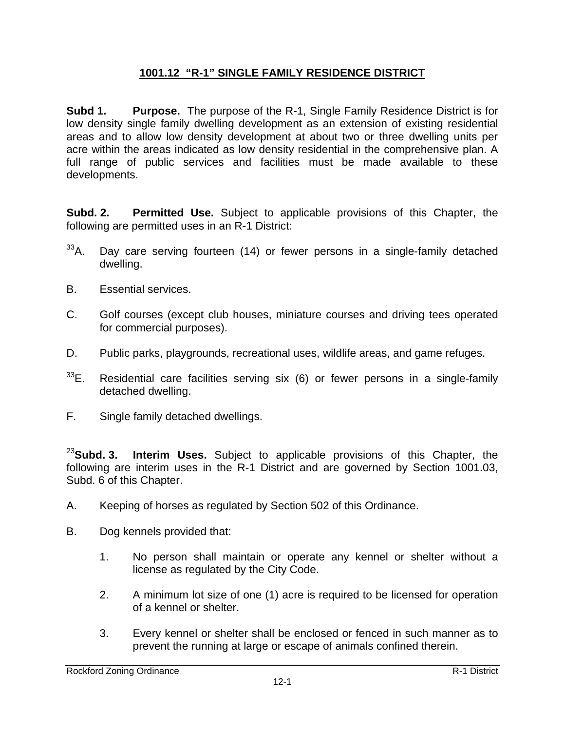## **1001.12 "R-1" SINGLE FAMILY RESIDENCE DISTRICT**

**Subd 1. Purpose.** The purpose of the R-1, Single Family Residence District is for low density single family dwelling development as an extension of existing residential areas and to allow low density development at about two or three dwelling units per acre within the areas indicated as low density residential in the comprehensive plan. A full range of public services and facilities must be made available to these developments.

**Subd. 2. Permitted Use.** Subject to applicable provisions of this Chapter, the following are permitted uses in an R-1 District:

- $33$ A. Day care serving fourteen (14) or fewer persons in a single-family detached dwelling.
- B. Essential services.
- C. Golf courses (except club houses, miniature courses and driving tees operated for commercial purposes).
- D. Public parks, playgrounds, recreational uses, wildlife areas, and game refuges.
- $33E$ . Residential care facilities serving six (6) or fewer persons in a single-family detached dwelling.
- F. Single family detached dwellings.

<sup>23</sup>**Subd. 3. Interim Uses.** Subject to applicable provisions of this Chapter, the following are interim uses in the R-1 District and are governed by Section 1001.03, Subd. 6 of this Chapter.

- A. Keeping of horses as regulated by Section 502 of this Ordinance.
- B. Dog kennels provided that:
	- 1. No person shall maintain or operate any kennel or shelter without a license as regulated by the City Code.
	- 2. A minimum lot size of one (1) acre is required to be licensed for operation of a kennel or shelter.
	- 3. Every kennel or shelter shall be enclosed or fenced in such manner as to prevent the running at large or escape of animals confined therein.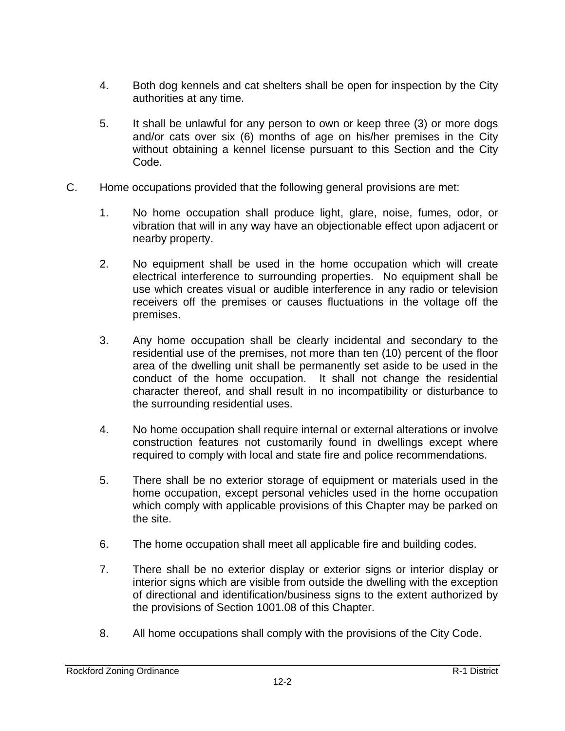- 4. Both dog kennels and cat shelters shall be open for inspection by the City authorities at any time.
- 5. It shall be unlawful for any person to own or keep three (3) or more dogs and/or cats over six (6) months of age on his/her premises in the City without obtaining a kennel license pursuant to this Section and the City Code.
- C. Home occupations provided that the following general provisions are met:
	- 1. No home occupation shall produce light, glare, noise, fumes, odor, or vibration that will in any way have an objectionable effect upon adjacent or nearby property.
	- 2. No equipment shall be used in the home occupation which will create electrical interference to surrounding properties. No equipment shall be use which creates visual or audible interference in any radio or television receivers off the premises or causes fluctuations in the voltage off the premises.
	- 3. Any home occupation shall be clearly incidental and secondary to the residential use of the premises, not more than ten (10) percent of the floor area of the dwelling unit shall be permanently set aside to be used in the conduct of the home occupation. It shall not change the residential character thereof, and shall result in no incompatibility or disturbance to the surrounding residential uses.
	- 4. No home occupation shall require internal or external alterations or involve construction features not customarily found in dwellings except where required to comply with local and state fire and police recommendations.
	- 5. There shall be no exterior storage of equipment or materials used in the home occupation, except personal vehicles used in the home occupation which comply with applicable provisions of this Chapter may be parked on the site.
	- 6. The home occupation shall meet all applicable fire and building codes.
	- 7. There shall be no exterior display or exterior signs or interior display or interior signs which are visible from outside the dwelling with the exception of directional and identification/business signs to the extent authorized by the provisions of Section 1001.08 of this Chapter.
	- 8. All home occupations shall comply with the provisions of the City Code.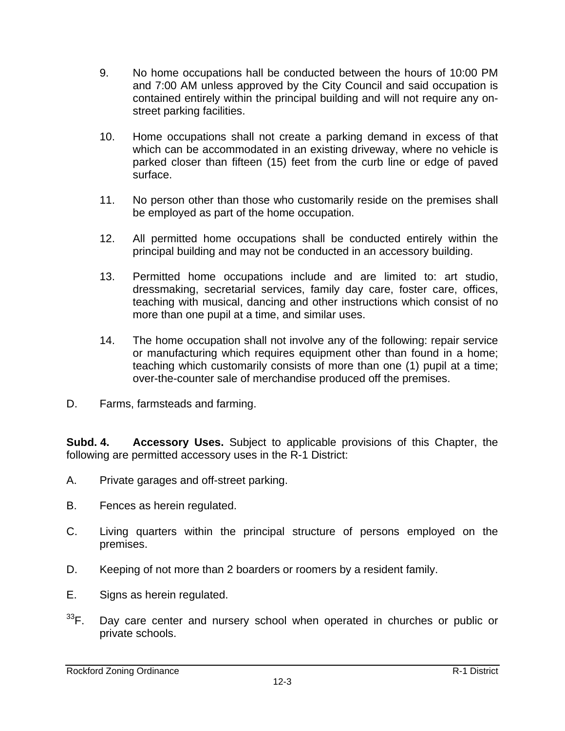- 9. No home occupations hall be conducted between the hours of 10:00 PM and 7:00 AM unless approved by the City Council and said occupation is contained entirely within the principal building and will not require any onstreet parking facilities.
- 10. Home occupations shall not create a parking demand in excess of that which can be accommodated in an existing driveway, where no vehicle is parked closer than fifteen (15) feet from the curb line or edge of paved surface.
- 11. No person other than those who customarily reside on the premises shall be employed as part of the home occupation.
- 12. All permitted home occupations shall be conducted entirely within the principal building and may not be conducted in an accessory building.
- 13. Permitted home occupations include and are limited to: art studio, dressmaking, secretarial services, family day care, foster care, offices, teaching with musical, dancing and other instructions which consist of no more than one pupil at a time, and similar uses.
- 14. The home occupation shall not involve any of the following: repair service or manufacturing which requires equipment other than found in a home; teaching which customarily consists of more than one (1) pupil at a time; over-the-counter sale of merchandise produced off the premises.
- D. Farms, farmsteads and farming.

**Subd. 4. Accessory Uses.** Subject to applicable provisions of this Chapter, the following are permitted accessory uses in the R-1 District:

- A. Private garages and off-street parking.
- B. Fences as herein regulated.
- C. Living quarters within the principal structure of persons employed on the premises.
- D. Keeping of not more than 2 boarders or roomers by a resident family.
- E. Signs as herein regulated.
- $33$ F. Day care center and nursery school when operated in churches or public or private schools.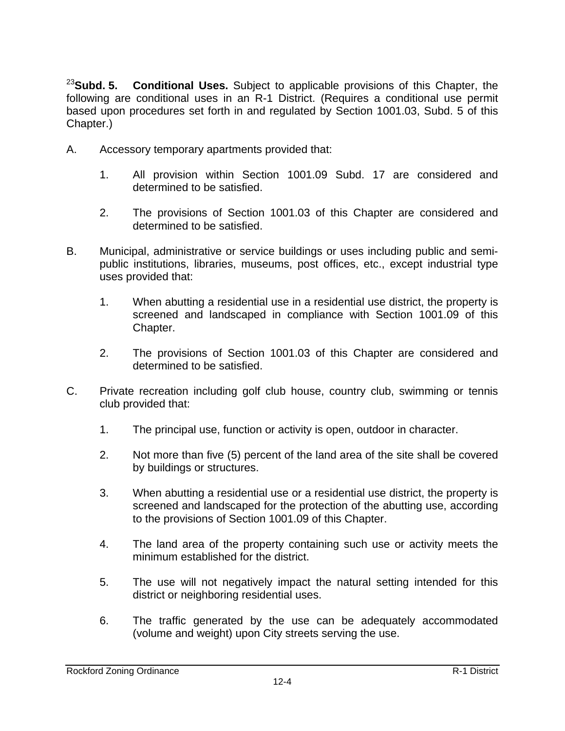<sup>23</sup>**Subd. 5. Conditional Uses.** Subject to applicable provisions of this Chapter, the following are conditional uses in an R-1 District. (Requires a conditional use permit based upon procedures set forth in and regulated by Section 1001.03, Subd. 5 of this Chapter.)

- A. Accessory temporary apartments provided that:
	- 1. All provision within Section 1001.09 Subd. 17 are considered and determined to be satisfied.
	- 2. The provisions of Section 1001.03 of this Chapter are considered and determined to be satisfied.
- B. Municipal, administrative or service buildings or uses including public and semipublic institutions, libraries, museums, post offices, etc., except industrial type uses provided that:
	- 1. When abutting a residential use in a residential use district, the property is screened and landscaped in compliance with Section 1001.09 of this Chapter.
	- 2. The provisions of Section 1001.03 of this Chapter are considered and determined to be satisfied.
- C. Private recreation including golf club house, country club, swimming or tennis club provided that:
	- 1. The principal use, function or activity is open, outdoor in character.
	- 2. Not more than five (5) percent of the land area of the site shall be covered by buildings or structures.
	- 3. When abutting a residential use or a residential use district, the property is screened and landscaped for the protection of the abutting use, according to the provisions of Section 1001.09 of this Chapter.
	- 4. The land area of the property containing such use or activity meets the minimum established for the district.
	- 5. The use will not negatively impact the natural setting intended for this district or neighboring residential uses.
	- 6. The traffic generated by the use can be adequately accommodated (volume and weight) upon City streets serving the use.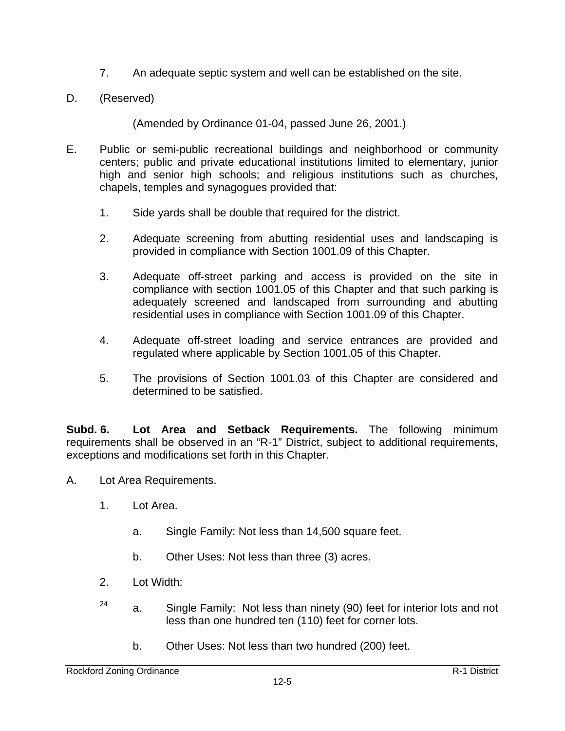- 7. An adequate septic system and well can be established on the site.
- D. (Reserved)

(Amended by Ordinance 01-04, passed June 26, 2001.)

- E. Public or semi-public recreational buildings and neighborhood or community centers; public and private educational institutions limited to elementary, junior high and senior high schools; and religious institutions such as churches, chapels, temples and synagogues provided that:
	- 1. Side yards shall be double that required for the district.
	- 2. Adequate screening from abutting residential uses and landscaping is provided in compliance with Section 1001.09 of this Chapter.
	- 3. Adequate off-street parking and access is provided on the site in compliance with section 1001.05 of this Chapter and that such parking is adequately screened and landscaped from surrounding and abutting residential uses in compliance with Section 1001.09 of this Chapter.
	- 4. Adequate off-street loading and service entrances are provided and regulated where applicable by Section 1001.05 of this Chapter.
	- 5. The provisions of Section 1001.03 of this Chapter are considered and determined to be satisfied.

**Subd. 6. Lot Area and Setback Requirements.** The following minimum requirements shall be observed in an "R-1" District, subject to additional requirements, exceptions and modifications set forth in this Chapter.

- A. Lot Area Requirements.
	- 1. Lot Area.
		- a. Single Family: Not less than 14,500 square feet.
		- b. Other Uses: Not less than three (3) acres.
	- 2. Lot Width:
	- $24$  a. Single Family: Not less than ninety (90) feet for interior lots and not less than one hundred ten (110) feet for corner lots.
		- b. Other Uses: Not less than two hundred (200) feet.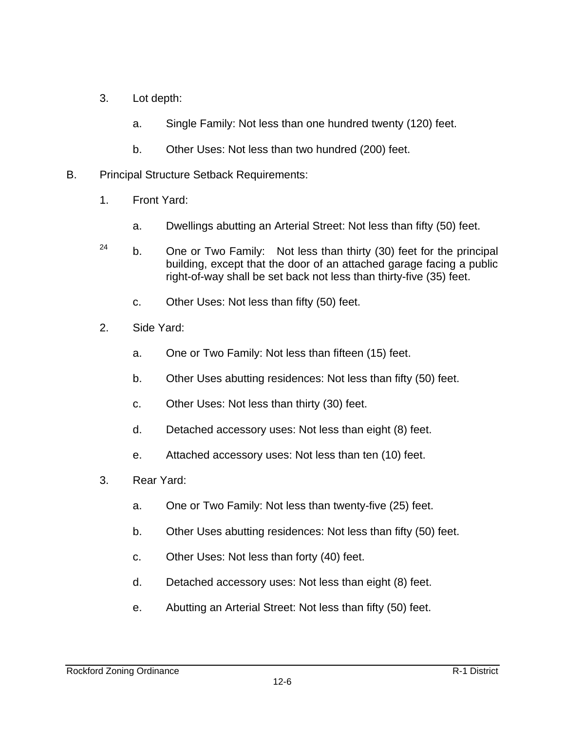- 3. Lot depth:
	- a. Single Family: Not less than one hundred twenty (120) feet.
	- b. Other Uses: Not less than two hundred (200) feet.
- B. Principal Structure Setback Requirements:
	- 1. Front Yard:
		- a. Dwellings abutting an Arterial Street: Not less than fifty (50) feet.
	- $24$  b. One or Two Family: Not less than thirty (30) feet for the principal building, except that the door of an attached garage facing a public right-of-way shall be set back not less than thirty-five (35) feet.
		- c. Other Uses: Not less than fifty (50) feet.
	- 2. Side Yard:
		- a. One or Two Family: Not less than fifteen (15) feet.
		- b. Other Uses abutting residences: Not less than fifty (50) feet.
		- c. Other Uses: Not less than thirty (30) feet.
		- d. Detached accessory uses: Not less than eight (8) feet.
		- e. Attached accessory uses: Not less than ten (10) feet.
	- 3. Rear Yard:
		- a. One or Two Family: Not less than twenty-five (25) feet.
		- b. Other Uses abutting residences: Not less than fifty (50) feet.
		- c. Other Uses: Not less than forty (40) feet.
		- d. Detached accessory uses: Not less than eight (8) feet.
		- e. Abutting an Arterial Street: Not less than fifty (50) feet.